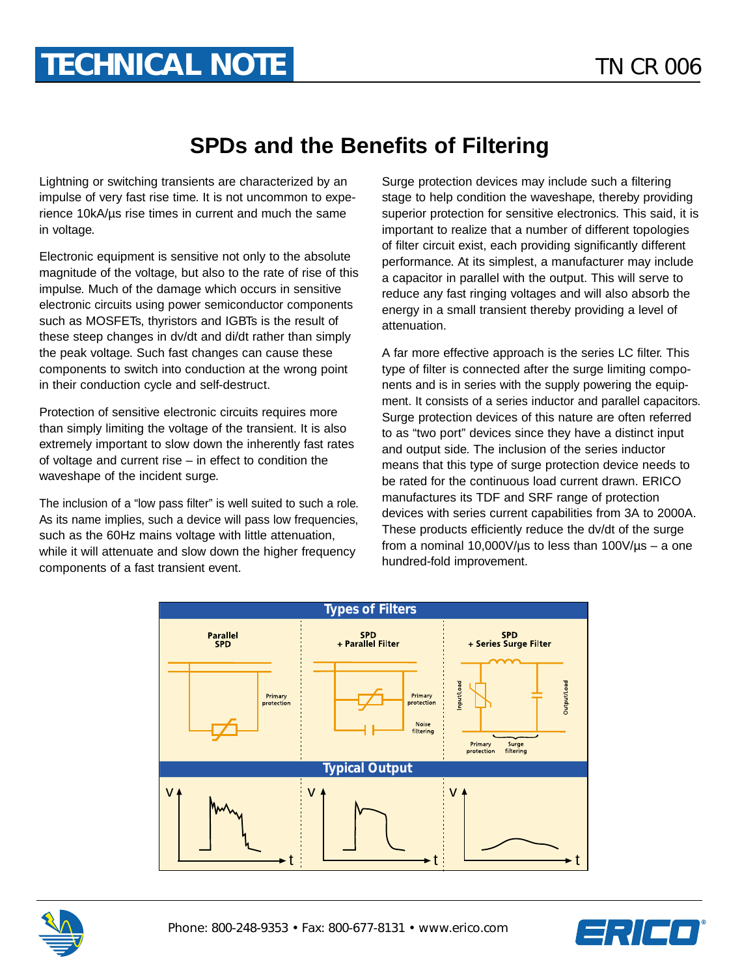## **SPDs and the Benefits of Filtering**

Lightning or switching transients are characterized by an impulse of very fast rise time. It is not uncommon to experience 10kA/µs rise times in current and much the same in voltage.

Electronic equipment is sensitive not only to the absolute magnitude of the voltage, but also to the rate of rise of this impulse. Much of the damage which occurs in sensitive electronic circuits using power semiconductor components such as MOSFETs, thyristors and IGBTs is the result of these steep changes in dv/dt and di/dt rather than simply the peak voltage. Such fast changes can cause these components to switch into conduction at the wrong point in their conduction cycle and self-destruct.

Protection of sensitive electronic circuits requires more than simply limiting the voltage of the transient. It is also extremely important to slow down the inherently fast rates of voltage and current rise – in effect to condition the waveshape of the incident surge.

The inclusion of a "low pass filter" is well suited to such a role. As its name implies, such a device will pass low frequencies, such as the 60Hz mains voltage with little attenuation, while it will attenuate and slow down the higher frequency components of a fast transient event.

Surge protection devices may include such a filtering stage to help condition the waveshape, thereby providing superior protection for sensitive electronics. This said, it is important to realize that a number of different topologies of filter circuit exist, each providing significantly different performance. At its simplest, a manufacturer may include a capacitor in parallel with the output. This will serve to reduce any fast ringing voltages and will also absorb the energy in a small transient thereby providing a level of attenuation.

A far more effective approach is the series LC filter. This type of filter is connected after the surge limiting components and is in series with the supply powering the equipment. It consists of a series inductor and parallel capacitors. Surge protection devices of this nature are often referred to as "two port" devices since they have a distinct input and output side. The inclusion of the series inductor means that this type of surge protection device needs to be rated for the continuous load current drawn. ERICO manufactures its TDF and SRF range of protection devices with series current capabilities from 3A to 2000A. These products efficiently reduce the dv/dt of the surge from a nominal 10,000V/ $\mu$ s to less than 100V/ $\mu$ s – a one hundred-fold improvement.